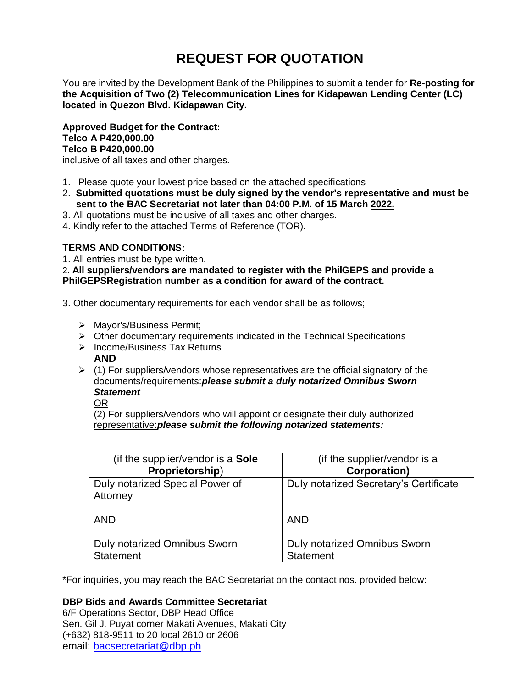# **REQUEST FOR QUOTATION**

You are invited by the Development Bank of the Philippines to submit a tender for **Re-posting for the Acquisition of Two (2) Telecommunication Lines for Kidapawan Lending Center (LC) located in Quezon Blvd. Kidapawan City.**

**Approved Budget for the Contract: Telco A P420,000.00 Telco B P420,000.00**

inclusive of all taxes and other charges.

- 1. Please quote your lowest price based on the attached specifications
- 2. **Submitted quotations must be duly signed by the vendor's representative and must be sent to the BAC Secretariat not later than 04:00 P.M. of 15 March 2022.**
- 3. All quotations must be inclusive of all taxes and other charges.
- 4. Kindly refer to the attached Terms of Reference (TOR).

# **TERMS AND CONDITIONS:**

1. All entries must be type written.

2**. All suppliers/vendors are mandated to register with the PhilGEPS and provide a PhilGEPSRegistration number as a condition for award of the contract.**

- 3. Other documentary requirements for each vendor shall be as follows;
	- > Mayor's/Business Permit;
	- $\triangleright$  Other documentary requirements indicated in the Technical Specifications
	- $\triangleright$  Income/Business Tax Returns **AND**
	- $\triangleright$  (1) For suppliers/vendors whose representatives are the official signatory of the documents/requirements:*please submit a duly notarized Omnibus Sworn Statement*

OR

(2) For suppliers/vendors who will appoint or designate their duly authorized representative:*please submit the following notarized statements:*

| (if the supplier/vendor is a Sole           | (if the supplier/vendor is a           |
|---------------------------------------------|----------------------------------------|
| Proprietorship)                             | <b>Corporation)</b>                    |
| Duly notarized Special Power of<br>Attorney | Duly notarized Secretary's Certificate |
| <b>AND</b>                                  | <b>AND</b>                             |
| <b>Duly notarized Omnibus Sworn</b>         | <b>Duly notarized Omnibus Sworn</b>    |
| <b>Statement</b>                            | <b>Statement</b>                       |

\*For inquiries, you may reach the BAC Secretariat on the contact nos. provided below:

## **DBP Bids and Awards Committee Secretariat**

6/F Operations Sector, DBP Head Office Sen. Gil J. Puyat corner Makati Avenues, Makati City (+632) 818-9511 to 20 local 2610 or 2606 email: [bacsecretariat@dbp.ph](mailto:bacsecretariat@dbp.ph)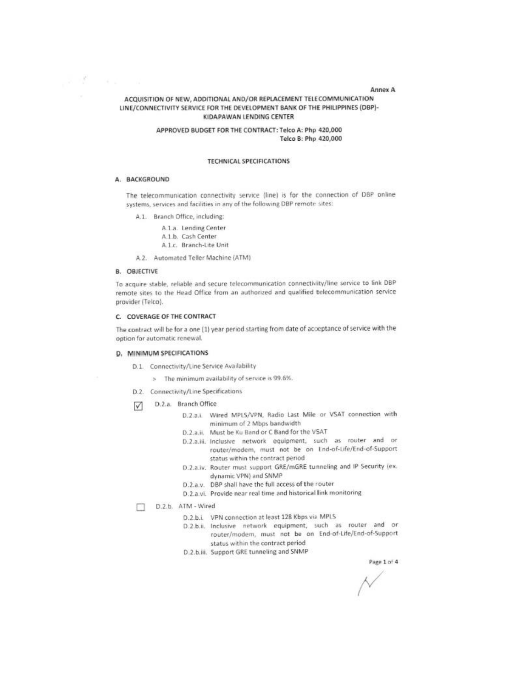#### **Annex A**

## ACQUISITION OF NEW, ADDITIONAL AND/OR REPLACEMENT TELECOMMUNICATION LINE/CONNECTIVITY SERVICE FOR THE DEVELOPMENT BANK OF THE PHILIPPINES (DBP)-KIDAPAWAN LENDING CENTER

## APPROVED BUDGET FOR THE CONTRACT: Telco A: Php 420,000 Telco B: Php 420,000

### **TECHNICAL SPECIFICATIONS**

#### A. BACKGROUND

with a communications

The telecommunication connectivity service (line) is for the connection of DBP online systems, services and facilities in any of the following DBP remote sites:

A.1. Branch Office, including:

A.1.a. Lending Center A.1.b. Cash Center A.1.c. Branch-Lite Unit

A.2. Automated Teller Machine (ATM)

## **B. OBJECTIVE**

To acquire stable, reliable and secure telecommunication connectivity/line service to link DBP remote sites to the Head Office from an authorized and qualified telecommunication service provider (Telco).

## C. COVERAGE OF THE CONTRACT

The contract will be for a one (1) year period starting from date of acceptance of service with the option for automatic renewal.

#### D. MINIMUM SPECIFICATIONS

- D.1. Connectivity/Line Service Availability
	- > The minimum availability of service is 99.6%.
- D.2. Connectivity/Line Specifications
- D.2.a. Branch Office М
	- D.2.a.i. Wired MPLS/VPN, Radio Last Mile or VSAT connection with minimum of 2 Mbps bandwidth
	- D.2.a.ii. Must be Ku Band or C Band for the VSAT
	- D.2.a.iii. Inclusive network equipment, such as router and or router/modem, must not be on End-of-Life/End-of-Support status within the contract period
	- D.2.a.iv. Router must support GRE/mGRE tunneling and IP Security (ex. dynamic VPN) and SNMP
	- D.2.a.v. DBP shall have the full access of the router
	- D.2.a.vi. Provide near real time and historical link monitoring
- D.2.b. ATM Wired п
	- D.2.b.i. VPN connection at least 128 Kbps via MPLS
	- D.2.b.ii. Inclusive network equipment, such as router and or router/modem, must not be on End-of-Life/End-of-Support status within the contract period
	- D.2.b.iii. Support GRE tunneling and SNMP

Page 1 of 4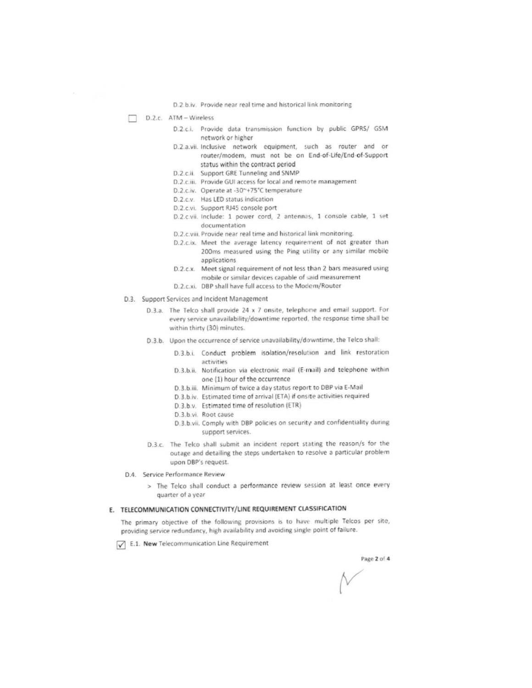D.2.b.iv. Provide near real time and historical link monitoring

 $\n **D.2.c.**$   $ATM - Wireless$ 

- D.2.c.i. Provide data transmission function by public GPRS/ GSM network or higher
- D.2.a.vii. Inclusive network equipment, such as router and or router/modem, must not be on End-of-Life/End-of-Support status within the contract period
- D.2.c.ii. Support GRE Tunneling and SNMP
- D.2.c.iii. Provide GUI access for local and remote management
- D.2.c.iv. Operate at -30~+75°C temperature
- D.2.c.v. Has LED status indication
- D.2.c.vi. Support RJ45 console port
- D.2.c.vii. Include: 1 power cord, 2 antennas, 1 console cable, 1 set documentation
- D.2.c.viii. Provide near real time and historical link monitoring.
- D.2.c.ix. Meet the average latency requirement of not greater than 200ms measured using the Ping utility or any similar mobile applications
- D.2.c.x. Meet signal requirement of not less than 2 bars measured using mobile or similar devices capable of said measurement
- D.2.c.xi. DBP shall have full access to the Modem/Router
- D.3. Support Services and Incident Management
	- D.3.a. The Telco shall provide 24 x 7 onsite, telephone and email support. For every service unavailability/downtime reported, the response time shall be within thirty (30) minutes.
	- D.3.b. Upon the occurrence of service unavailability/downtime, the Telco shall:
		- D.3.b.i. Conduct problem isolation/resolution and link restoration activities
		- D.3.b.ii. Notification via electronic mail (E-mail) and telephone within one (1) hour of the occurrence
		- D.3.b.iii. Minimum of twice a day status report to DBP via E-Mail
		- D.3.b.iv. Estimated time of arrival (ETA) if onsite activities required
		- D.3.b.v. Estimated time of resolution (ETR)
		- D.3.b.vi. Root cause
		- D.3.b.vii. Comply with DBP policies on security and confidentiality during support services.
	- D.3.c. The Telco shall submit an incident report stating the reason/s for the outage and detailing the steps undertaken to resolve a particular problem upon DBP's request.
- D.4. Service Performance Review
	- > The Telco shall conduct a performance review session at least once every quarter of a year

## E. TELECOMMUNICATION CONNECTIVITY/LINE REQUIREMENT CLASSIFICATION

The primary objective of the following provisions is to have multiple Telcos per site, providing service redundancy, high availability and avoiding single point of failure.

E.1. New Telecommunication Line Requirement

Page 2 of 4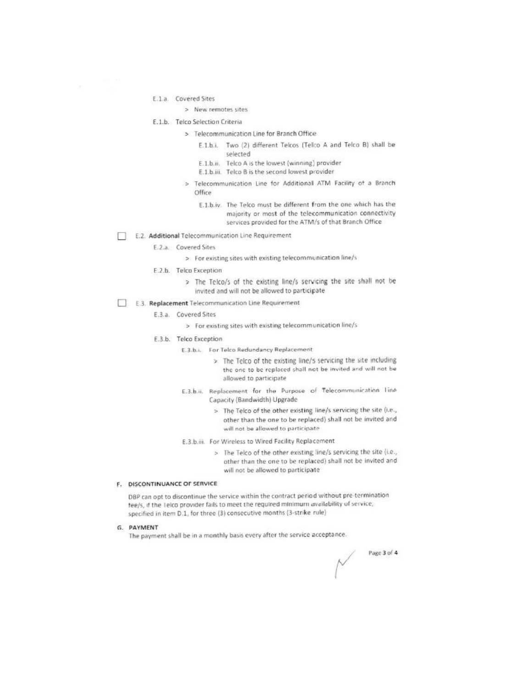- E.1.a. Covered Sites
	- > New remotes sites
- E.1.b. Telco Selection Criteria
	- > Telecommunication Line for Branch Office
		- E.1.b.i. Two (2) different Telcos (Telco A and Telco B) shall be selected
		- E.1.b.ii. Telco A is the lowest (winning) provider
		- E.1.b.iii. Telco B is the second lowest provider
	- Telecommunication Line for Additional ATM Facility of a Branch b. Office
		- E.1.b.iv. The Telco must be different from the one which has the majority or most of the telecommunication connectivity services provided for the ATM/s of that Branch Office
- E.2. Additional Telecommunication Line Requirement
	- E.2.a. Covered Sites
		- > For existing sites with existing telecommunication line/s
	- E.2.b. Telco Exception
		- > The Telco/s of the existing line/s servicing the site shall not be invited and will not be allowed to participate
- E.3. Replacement Telecommunication Line Requirement
	- E.3.a. Covered Sites
		- > For existing sites with existing telecommunication line/s
	- E.3.b. Telco Exception
		- E.3.b.i. For Telco Redundancy Replacement
			- > The Telco of the existing line/s servicing the site including the one to be replaced shall not be invited and will not be allowed to participate
		- E.3.b.ii. Replacement for the Purpose of Telecommunication line Capacity (Bandwidth) Upgrade
			- > The Telco of the other existing line/s servicing the site (i.e., other than the one to be replaced) shall not be invited and will not be allowed to participate
		- E.3.b.iii. For Wireless to Wired Facility Replacement
			- > The Telco of the other existing line/s servicing the site (i.e., other than the one to be replaced) shall not be invited and will not be allowed to participate

#### F. DISCONTINUANCE OF SERVICE

DBP can opt to discontinue the service within the contract period without pre-termination tee/s, if the Telco provider fails to meet the required minimum availability of service, specified in item D.1, for three (3) consecutive months (3-strike rule)

#### G. PAYMENT

The payment shall be in a monthly basis every after the service acceptance.

Page 3 of 4